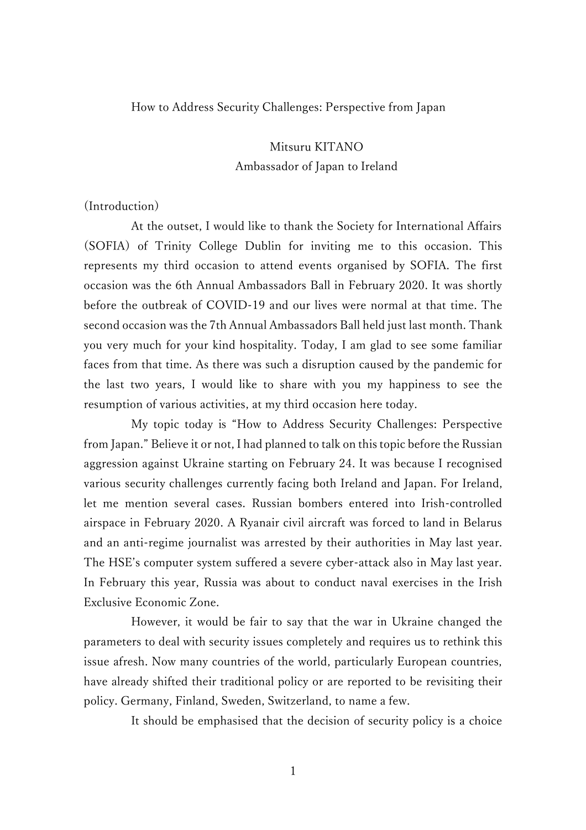### How to Address Security Challenges: Perspective from Japan

# Mitsuru KITANO Ambassador of Japan to Ireland

## (Introduction)

At the outset, I would like to thank the Society for International Affairs (SOFIA) of Trinity College Dublin for inviting me to this occasion. This represents my third occasion to attend events organised by SOFIA. The first occasion was the 6th Annual Ambassadors Ball in February 2020. It was shortly before the outbreak of COVID-19 and our lives were normal at that time. The second occasion was the 7th Annual Ambassadors Ball held just last month. Thank you very much for your kind hospitality. Today, I am glad to see some familiar faces from that time. As there was such a disruption caused by the pandemic for the last two years, I would like to share with you my happiness to see the resumption of various activities, at my third occasion here today.

My topic today is "How to Address Security Challenges: Perspective from Japan." Believe it or not, I had planned to talk on this topic before the Russian aggression against Ukraine starting on February 24. It was because I recognised various security challenges currently facing both Ireland and Japan. For Ireland, let me mention several cases. Russian bombers entered into Irish-controlled airspace in February 2020. A Ryanair civil aircraft was forced to land in Belarus and an anti-regime journalist was arrested by their authorities in May last year. The HSE's computer system suffered a severe cyber-attack also in May last year. In February this year, Russia was about to conduct naval exercises in the Irish Exclusive Economic Zone.

However, it would be fair to say that the war in Ukraine changed the parameters to deal with security issues completely and requires us to rethink this issue afresh. Now many countries of the world, particularly European countries, have already shifted their traditional policy or are reported to be revisiting their policy. Germany, Finland, Sweden, Switzerland, to name a few.

It should be emphasised that the decision of security policy is a choice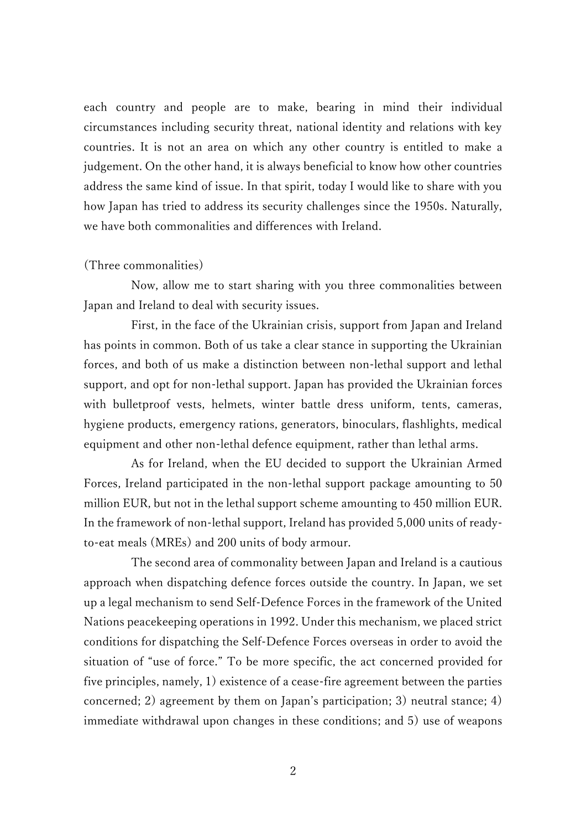each country and people are to make, bearing in mind their individual circumstances including security threat, national identity and relations with key countries. It is not an area on which any other country is entitled to make a judgement. On the other hand, it is always beneficial to know how other countries address the same kind of issue. In that spirit, today I would like to share with you how Japan has tried to address its security challenges since the 1950s. Naturally, we have both commonalities and differences with Ireland.

#### (Three commonalities)

Now, allow me to start sharing with you three commonalities between Japan and Ireland to deal with security issues.

First, in the face of the Ukrainian crisis, support from Japan and Ireland has points in common. Both of us take a clear stance in supporting the Ukrainian forces, and both of us make a distinction between non-lethal support and lethal support, and opt for non-lethal support. Japan has provided the Ukrainian forces with bulletproof vests, helmets, winter battle dress uniform, tents, cameras, hygiene products, emergency rations, generators, binoculars, flashlights, medical equipment and other non-lethal defence equipment, rather than lethal arms.

As for Ireland, when the EU decided to support the Ukrainian Armed Forces, Ireland participated in the non-lethal support package amounting to 50 million EUR, but not in the lethal support scheme amounting to 450 million EUR. In the framework of non-lethal support, Ireland has provided 5,000 units of readyto-eat meals (MREs) and 200 units of body armour.

The second area of commonality between Japan and Ireland is a cautious approach when dispatching defence forces outside the country. In Japan, we set up a legal mechanism to send Self-Defence Forces in the framework of the United Nations peacekeeping operations in 1992. Under this mechanism, we placed strict conditions for dispatching the Self-Defence Forces overseas in order to avoid the situation of "use of force." To be more specific, the act concerned provided for five principles, namely, 1) existence of a cease-fire agreement between the parties concerned; 2) agreement by them on Japan's participation; 3) neutral stance; 4) immediate withdrawal upon changes in these conditions; and 5) use of weapons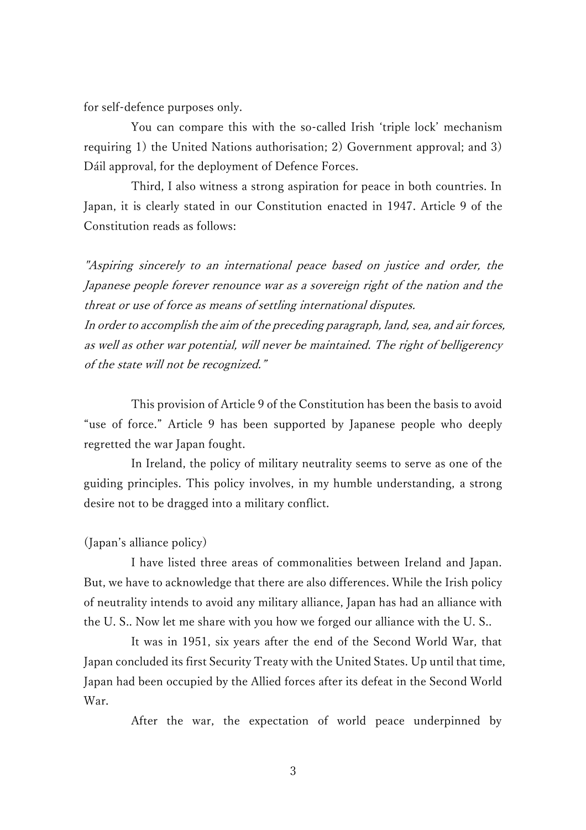for self-defence purposes only.

You can compare this with the so-called Irish 'triple lock' mechanism requiring 1) the United Nations authorisation; 2) Government approval; and 3) Dáil approval, for the deployment of Defence Forces.

Third, I also witness a strong aspiration for peace in both countries. In Japan, it is clearly stated in our Constitution enacted in 1947. Article 9 of the Constitution reads as follows:

"Aspiring sincerely to an international peace based on justice and order, the Japanese people forever renounce war as a sovereign right of the nation and the threat or use of force as means of settling international disputes.

In order to accomplish the aim of the preceding paragraph, land, sea, and air forces, as well as other war potential, will never be maintained. The right of belligerency of the state will not be recognized."

This provision of Article 9 of the Constitution has been the basis to avoid "use of force." Article 9 has been supported by Japanese people who deeply regretted the war Japan fought.

In Ireland, the policy of military neutrality seems to serve as one of the guiding principles. This policy involves, in my humble understanding, a strong desire not to be dragged into a military conflict.

#### (Japan's alliance policy)

I have listed three areas of commonalities between Ireland and Japan. But, we have to acknowledge that there are also differences. While the Irish policy of neutrality intends to avoid any military alliance, Japan has had an alliance with the U. S.. Now let me share with you how we forged our alliance with the U. S..

It was in 1951, six years after the end of the Second World War, that Japan concluded its first Security Treaty with the United States. Up until that time, Japan had been occupied by the Allied forces after its defeat in the Second World War.

After the war, the expectation of world peace underpinned by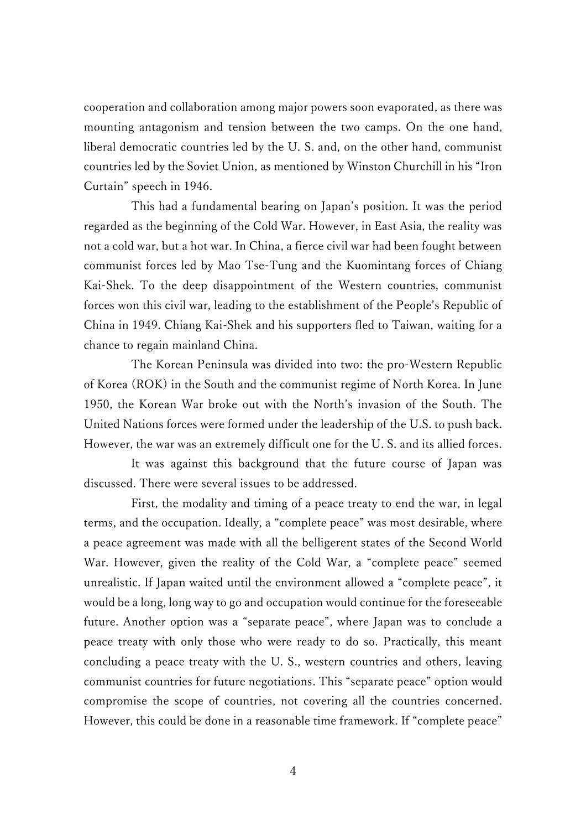cooperation and collaboration among major powers soon evaporated, as there was mounting antagonism and tension between the two camps. On the one hand, liberal democratic countries led by the U. S. and, on the other hand, communist countries led by the Soviet Union, as mentioned by Winston Churchill in his "Iron Curtain" speech in 1946.

This had a fundamental bearing on Japan's position. It was the period regarded as the beginning of the Cold War. However, in East Asia, the reality was not a cold war, but a hot war. In China, a fierce civil war had been fought between communist forces led by Mao Tse-Tung and the Kuomintang forces of Chiang Kai-Shek. To the deep disappointment of the Western countries, communist forces won this civil war, leading to the establishment of the People's Republic of China in 1949. Chiang Kai-Shek and his supporters fled to Taiwan, waiting for a chance to regain mainland China.

The Korean Peninsula was divided into two: the pro-Western Republic of Korea (ROK) in the South and the communist regime of North Korea. In June 1950, the Korean War broke out with the North's invasion of the South. The United Nations forces were formed under the leadership of the U.S. to push back. However, the war was an extremely difficult one for the U. S. and its allied forces.

It was against this background that the future course of Japan was discussed. There were several issues to be addressed.

First, the modality and timing of a peace treaty to end the war, in legal terms, and the occupation. Ideally, a "complete peace" was most desirable, where a peace agreement was made with all the belligerent states of the Second World War. However, given the reality of the Cold War, a "complete peace" seemed unrealistic. If Japan waited until the environment allowed a "complete peace", it would be a long, long way to go and occupation would continue for the foreseeable future. Another option was a "separate peace", where Japan was to conclude a peace treaty with only those who were ready to do so. Practically, this meant concluding a peace treaty with the U. S., western countries and others, leaving communist countries for future negotiations. This "separate peace" option would compromise the scope of countries, not covering all the countries concerned. However, this could be done in a reasonable time framework. If "complete peace"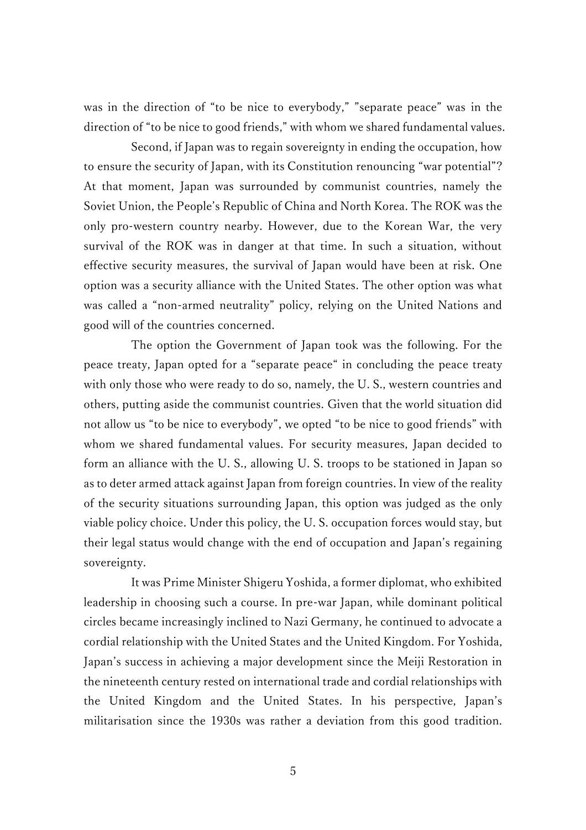was in the direction of "to be nice to everybody," "separate peace" was in the direction of "to be nice to good friends," with whom we shared fundamental values.

Second, if Japan was to regain sovereignty in ending the occupation, how to ensure the security of Japan, with its Constitution renouncing "war potential"? At that moment, Japan was surrounded by communist countries, namely the Soviet Union, the People's Republic of China and North Korea. The ROK was the only pro-western country nearby. However, due to the Korean War, the very survival of the ROK was in danger at that time. In such a situation, without effective security measures, the survival of Japan would have been at risk. One option was a security alliance with the United States. The other option was what was called a "non-armed neutrality" policy, relying on the United Nations and good will of the countries concerned.

The option the Government of Japan took was the following. For the peace treaty, Japan opted for a "separate peace" in concluding the peace treaty with only those who were ready to do so, namely, the U. S., western countries and others, putting aside the communist countries. Given that the world situation did not allow us "to be nice to everybody", we opted "to be nice to good friends" with whom we shared fundamental values. For security measures, Japan decided to form an alliance with the U. S., allowing U. S. troops to be stationed in Japan so as to deter armed attack against Japan from foreign countries. In view of the reality of the security situations surrounding Japan, this option was judged as the only viable policy choice. Under this policy, the U. S. occupation forces would stay, but their legal status would change with the end of occupation and Japan's regaining sovereignty.

It was Prime Minister Shigeru Yoshida, a former diplomat, who exhibited leadership in choosing such a course. In pre-war Japan, while dominant political circles became increasingly inclined to Nazi Germany, he continued to advocate a cordial relationship with the United States and the United Kingdom. For Yoshida, Japan's success in achieving a major development since the Meiji Restoration in the nineteenth century rested on international trade and cordial relationships with the United Kingdom and the United States. In his perspective, Japan's militarisation since the 1930s was rather a deviation from this good tradition.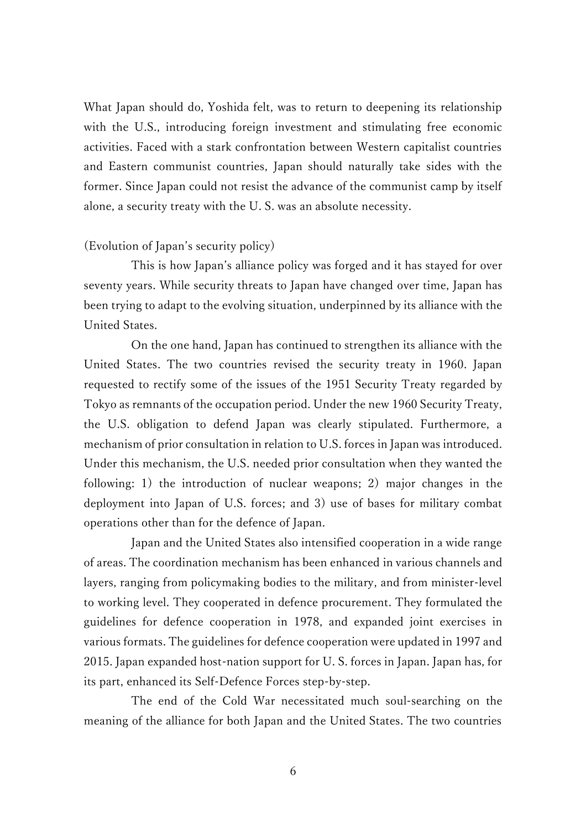What Japan should do, Yoshida felt, was to return to deepening its relationship with the U.S., introducing foreign investment and stimulating free economic activities. Faced with a stark confrontation between Western capitalist countries and Eastern communist countries, Japan should naturally take sides with the former. Since Japan could not resist the advance of the communist camp by itself alone, a security treaty with the U. S. was an absolute necessity.

#### (Evolution of Japan's security policy)

This is how Japan's alliance policy was forged and it has stayed for over seventy years. While security threats to Japan have changed over time, Japan has been trying to adapt to the evolving situation, underpinned by its alliance with the United States.

On the one hand, Japan has continued to strengthen its alliance with the United States. The two countries revised the security treaty in 1960. Japan requested to rectify some of the issues of the 1951 Security Treaty regarded by Tokyo as remnants of the occupation period. Under the new 1960 Security Treaty, the U.S. obligation to defend Japan was clearly stipulated. Furthermore, a mechanism of prior consultation in relation to U.S. forces in Japan was introduced. Under this mechanism, the U.S. needed prior consultation when they wanted the following: 1) the introduction of nuclear weapons; 2) major changes in the deployment into Japan of U.S. forces; and 3) use of bases for military combat operations other than for the defence of Japan.

Japan and the United States also intensified cooperation in a wide range of areas. The coordination mechanism has been enhanced in various channels and layers, ranging from policymaking bodies to the military, and from minister-level to working level. They cooperated in defence procurement. They formulated the guidelines for defence cooperation in 1978, and expanded joint exercises in various formats. The guidelines for defence cooperation were updated in 1997 and 2015. Japan expanded host-nation support for U. S. forces in Japan. Japan has, for its part, enhanced its Self-Defence Forces step-by-step.

The end of the Cold War necessitated much soul-searching on the meaning of the alliance for both Japan and the United States. The two countries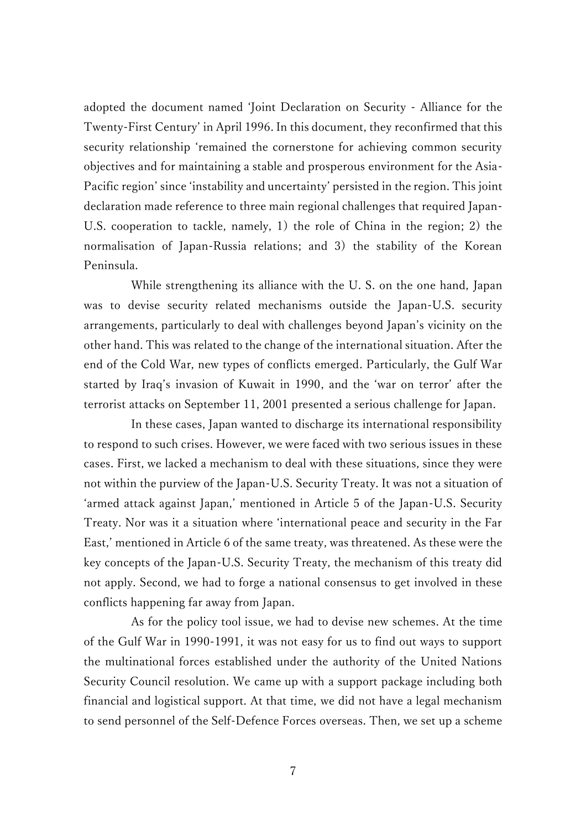adopted the document named 'Joint Declaration on Security - Alliance for the Twenty-First Century' in April 1996. In this document, they reconfirmed that this security relationship 'remained the cornerstone for achieving common security objectives and for maintaining a stable and prosperous environment for the Asia-Pacific region' since 'instability and uncertainty' persisted in the region. This joint declaration made reference to three main regional challenges that required Japan-U.S. cooperation to tackle, namely, 1) the role of China in the region; 2) the normalisation of Japan-Russia relations; and 3) the stability of the Korean Peninsula.

While strengthening its alliance with the U. S. on the one hand, Japan was to devise security related mechanisms outside the Japan-U.S. security arrangements, particularly to deal with challenges beyond Japan's vicinity on the other hand. This was related to the change of the international situation. After the end of the Cold War, new types of conflicts emerged. Particularly, the Gulf War started by Iraq's invasion of Kuwait in 1990, and the 'war on terror' after the terrorist attacks on September 11, 2001 presented a serious challenge for Japan.

In these cases, Japan wanted to discharge its international responsibility to respond to such crises. However, we were faced with two serious issues in these cases. First, we lacked a mechanism to deal with these situations, since they were not within the purview of the Japan-U.S. Security Treaty. It was not a situation of 'armed attack against Japan,' mentioned in Article 5 of the Japan-U.S. Security Treaty. Nor was it a situation where 'international peace and security in the Far East,' mentioned in Article 6 of the same treaty, was threatened. As these were the key concepts of the Japan-U.S. Security Treaty, the mechanism of this treaty did not apply. Second, we had to forge a national consensus to get involved in these conflicts happening far away from Japan.

As for the policy tool issue, we had to devise new schemes. At the time of the Gulf War in 1990-1991, it was not easy for us to find out ways to support the multinational forces established under the authority of the United Nations Security Council resolution. We came up with a support package including both financial and logistical support. At that time, we did not have a legal mechanism to send personnel of the Self-Defence Forces overseas. Then, we set up a scheme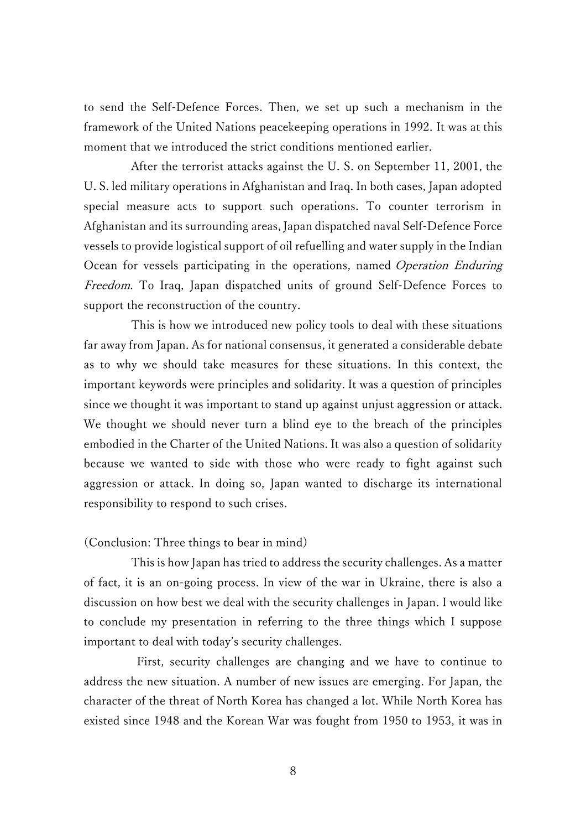to send the Self-Defence Forces. Then, we set up such a mechanism in the framework of the United Nations peacekeeping operations in 1992. It was at this moment that we introduced the strict conditions mentioned earlier.

After the terrorist attacks against the U. S. on September 11, 2001, the U. S. led military operations in Afghanistan and Iraq. In both cases, Japan adopted special measure acts to support such operations. To counter terrorism in Afghanistan and its surrounding areas, Japan dispatched naval Self-Defence Force vessels to provide logistical support of oil refuelling and water supply in the Indian Ocean for vessels participating in the operations, named Operation Enduring Freedom. To Iraq, Japan dispatched units of ground Self-Defence Forces to support the reconstruction of the country.

This is how we introduced new policy tools to deal with these situations far away from Japan. As for national consensus, it generated a considerable debate as to why we should take measures for these situations. In this context, the important keywords were principles and solidarity. It was a question of principles since we thought it was important to stand up against unjust aggression or attack. We thought we should never turn a blind eye to the breach of the principles embodied in the Charter of the United Nations. It was also a question of solidarity because we wanted to side with those who were ready to fight against such aggression or attack. In doing so, Japan wanted to discharge its international responsibility to respond to such crises.

#### (Conclusion: Three things to bear in mind)

This is how Japan has tried to address the security challenges. As a matter of fact, it is an on-going process. In view of the war in Ukraine, there is also a discussion on how best we deal with the security challenges in Japan. I would like to conclude my presentation in referring to the three things which I suppose important to deal with today's security challenges.

First, security challenges are changing and we have to continue to address the new situation. A number of new issues are emerging. For Japan, the character of the threat of North Korea has changed a lot. While North Korea has existed since 1948 and the Korean War was fought from 1950 to 1953, it was in